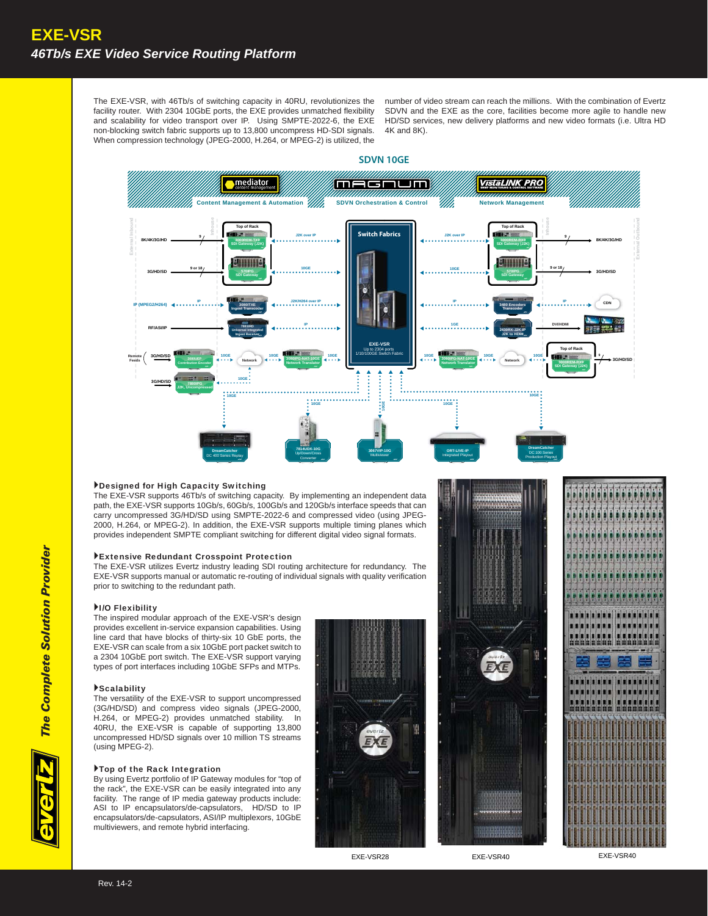The EXE-VSR, with 46Tb/s of switching capacity in 40RU, revolutionizes the facility router. With 2304 10GbE ports, the EXE provides unmatched flexibility and scalability for video transport over IP. Using SMPTE-2022-6, the EXE non-blocking switch fabric supports up to 13,800 uncompress HD-SDI signals. When compression technology (JPEG-2000, H.264, or MPEG-2) is utilized, the

number of video stream can reach the millions. With the combination of Evertz SDVN and the EXE as the core, facilities become more agile to handle new HD/SD services, new delivery platforms and new video formats (i.e. Ultra HD 4K and 8K).



# Designed for High Capacity Switching

The EXE-VSR supports 46Tb/s of switching capacity. By implementing an independent data a path, the EXE-VSR supports 10Gb/s, 60Gb/s, 100Gb/s and 120Gb/s interface speeds that can carry uncompressed 3G/HD/SD using SMPTE-2022-6 and compressed video (using JPEG-- 2000, H.264, or MPEG-2). In addition, the EXE-VSR supports multiple timing planes which h provides independent SMPTE compliant switching for different digital video signal formats.

# Extensive Redundant Crosspoint Protection

The EXE-VSR utilizes Evertz industry leading SDI routing architecture for redundancy. The e EXE-VSR supports manual or automatic re-routing of individual signals with quality verification prior to switching to the redundant path.

#### I/O Flexibility

The inspired modular approach of the EXE-VSR's design provides excellent in-service expansion capabilities. Using line card that have blocks of thirty-six 10 GbE ports, the EXE-VSR can scale from a six 10GbE port packet switch to a 2304 10GbE port switch. The EXE-VSR support varying types of port interfaces including 10GbE SFPs and MTPs.

# Scalability

The versatility of the EXE-VSR to support uncompressed (3G/HD/SD) and compress video signals (JPEG-2000, H.264, or MPEG-2) provides unmatched stability. In 40RU, the EXE-VSR is capable of supporting 13,800 uncompressed HD/SD signals over 10 million TS streams (using MPEG-2).

## Top of the Rack Integration

By using Evertz portfolio of IP Gateway modules for "top of the rack", the EXE-VSR can be easily integrated into any facility. The range of IP media gateway products include: ASI to IP encapsulators/de-capsulators, HD/SD to IP encapsulators/de-capsulators, ASI/IP multiplexors, 10GbE multiviewers, and remote hybrid interfacing.